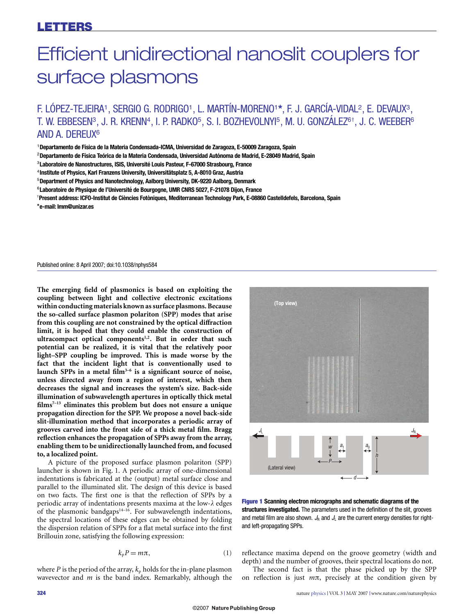# Efficient unidirectional nanoslit couplers for surface plasmons

F. LÓPEZ-TEJEIRA<sup>1</sup>, SERGIO G. RODRIGO<sup>1</sup>, L. MARTÍN-MORENO<sup>1</sup>\*, F. J. GARCÍA-VIDAL<sup>2</sup>, E. DEVAUX<sup>3</sup>, t. W. Ebbesen<sup>3</sup>, J. R. Krenn<sup>4</sup>, I. P. Radko<sup>5</sup>, S. I. Bozhevolnyi<sup>5</sup>, M. U. González<sup>6†</sup>, J. C. Weeber<sup>6</sup> AND A. DEREUX<sup>6</sup>

<sup>1</sup>**Departamento de F´ısica de la Materia Condensada-ICMA, Universidad de Zaragoza, E-50009 Zaragoza, Spain**

<sup>2</sup>**Departamento de F´ısica Teorica de la Materia Condensada, Universidad Aut ´ onoma de Madrid, E-28049 Madrid, Spain ´**

<sup>3</sup>**Laboratoire de Nanostructures, ISIS, Universite Louis Pasteur, F-67000 Strasbourg, France ´**

<sup>4</sup>**Institute of Physics, Karl Franzens University, Universitatsplatz 5, A-8010 Graz, Austria ¨**

<sup>5</sup>**Department of Physics and Nanotechnology, Aalborg University, DK-9220 Aalborg, Denmark**

<sup>6</sup>**Laboratoire de Physique de l'Universite de Bourgogne, UMR CNRS 5027, F-21078 Dijon, France ´**

*†* **Present address: ICFO-Institut de Ciencies Fot ` oniques, Mediterranean Technology Park, E-08860 Castelldefels, Barcelona, Spain `**

**\*e-mail: lmm@unizar.es**

Published online: 8 April 2007; doi:10.1038/nphys584

**The emerging field of plasmonics is based on exploiting the coupling between light and collective electronic excitations within conducting materials known as surface plasmons. Because the so-called surface plasmon polariton (SPP) modes that arise from this coupling are not constrained by the optical diffraction limit, it is hoped that they could enable the construction of** ultracompact optical components<sup>1,2</sup>. But in order that such **potential can be realized, it is vital that the relatively poor light–SPP coupling be improved. This is made worse by the fact that the incident light that is conventionally used to launch SPPs in a metal film3–6 is a significant source of noise, unless directed away from a region of interest, which then decreases the signal and increases the system's size. Back-side illumination of subwavelength apertures in optically thick metal films7–13 eliminates this problem but does not ensure a unique propagation direction for the SPP. We propose a novel back-side slit-illumination method that incorporates a periodic array of grooves carved into the front side of a thick metal film. Bragg reflection enhances the propagation of SPPs away from the array, enabling them to be unidirectionally launched from, and focused to, a localized point.**

A picture of the proposed surface plasmon polariton (SPP) launcher is shown in Fig. 1. A periodic array of one-dimensional indentations is fabricated at the (output) metal surface close and parallel to the illuminated slit. The design of this device is based on two facts. The first one is that the reflection of SPPs by a periodic array of indentations presents maxima at the low- $\lambda$  edges of the plasmonic bandgaps $14-16$ . For subwavelength indentations, the spectral locations of these edges can be obtained by folding the dispersion relation of SPPs for a flat metal surface into the first Brillouin zone, satisfying the following expression:

$$
k_{\rm p}P = m\pi,\tag{1}
$$

where *P* is the period of the array,  $k_p$  holds for the in-plane plasmon wavevector and *m* is the band index. Remarkably, although the



**Figure 1 Scanning electron micrographs and schematic diagrams of the structures investigated.** The parameters used in the definition of the slit, grooves and metal film are also shown.  $J_R$  and  $J_L$  are the current energy densities for rightand left-propagating SPPs.

reflectance maxima depend on the groove geometry (width and depth) and the number of grooves, their spectral locations do not.

The second fact is that the phase picked up by the SPP on reflection is just *m*π, precisely at the condition given by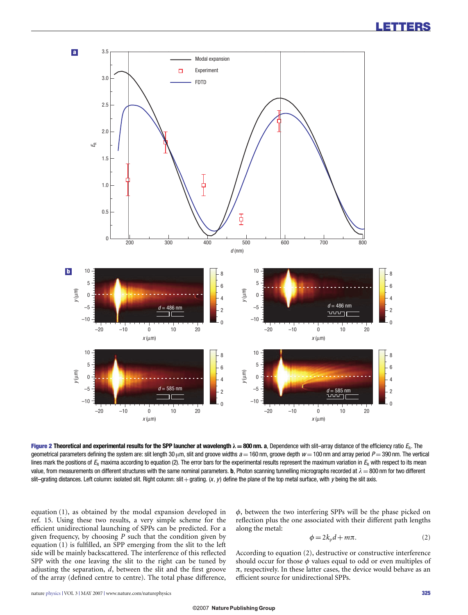



**Figure 2 Theoretical and experimental results for the SPP launcher at wavelength λ = 800 nm. a**, Dependence with slit–array distance of the efficiency ratio *E*<sub>R</sub>. The geometrical parameters defining the system are: slit length 30  $\mu$ m, slit and groove widths  $a = 160$  nm, groove depth  $w = 100$  nm and array period  $P = 390$  nm. The vertical lines mark the positions of  $E<sub>B</sub>$  maxima according to equation (2). The error bars for the experimental results represent the maximum variation in  $E<sub>B</sub>$  with respect to its mean value, from measurements on different structures with the same nominal parameters. **b**, Photon scanning tunnelling micrographs recorded at  $\lambda = 800$  nm for two different slit–grating distances. Left column: isolated slit. Right column: slit + grating.  $(x, y)$  define the plane of the top metal surface, with y being the slit axis.

equation (1), as obtained by the modal expansion developed in ref. 15. Using these two results, a very simple scheme for the efficient unidirectional launching of SPPs can be predicted. For a given frequency, by choosing *P* such that the condition given by equation (1) is fulfilled, an SPP emerging from the slit to the left side will be mainly backscattered. The interference of this reflected SPP with the one leaving the slit to the right can be tuned by adjusting the separation, *d*, between the slit and the first groove of the array (defined centre to centre). The total phase difference,

 $\phi$ , between the two interfering SPPs will be the phase picked on reflection plus the one associated with their different path lengths along the metal:

$$
\phi = 2k_{\rm p}d + m\pi. \tag{2}
$$

According to equation (2), destructive or constructive interference should occur for those  $\phi$  values equal to odd or even multiples of π, respectively. In these latter cases, the device would behave as an efficient source for unidirectional SPPs.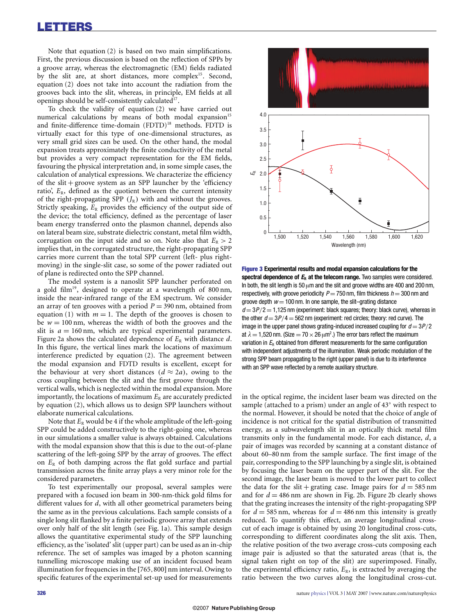# **LETTERS**

Note that equation (2) is based on two main simplifications. First, the previous discussion is based on the reflection of SPPs by a groove array, whereas the electromagnetic (EM) fields radiated by the slit are, at short distances, more complex<sup>15</sup>. Second, equation (2) does not take into account the radiation from the grooves back into the slit, whereas, in principle, EM fields at all openings should be self-consistently calculated<sup>17</sup>.

To check the validity of equation (2) we have carried out numerical calculations by means of both modal expansion<sup>15</sup> and finite-difference time-domain (FDTD)<sup>18</sup> methods. FDTD is virtually exact for this type of one-dimensional structures, as very small grid sizes can be used. On the other hand, the modal expansion treats approximately the finite conductivity of the metal but provides a very compact representation for the EM fields, favouring the physical interpretation and, in some simple cases, the calculation of analytical expressions. We characterize the efficiency of the slit + groove system as an SPP launcher by the 'efficiency ratio',  $E_R$ , defined as the quotient between the current intensity of the right-propagating SPP  $(J_R)$  with and without the grooves. Strictly speaking,  $E_R$  provides the efficiency of the output side of the device; the total efficiency, defined as the percentage of laser beam energy transferred onto the plasmon channel, depends also on lateral beam size, substrate dielectric constant, metal film width, corrugation on the input side and so on. Note also that  $E_R > 2$ implies that, in the corrugated structure, the right-propagating SPP carries more current than the total SPP current (left- plus rightmoving) in the single-slit case, so some of the power radiated out of plane is redirected onto the SPP channel.

The model system is a nanoslit SPP launcher perforated on a gold film<sup>19</sup>, designed to operate at a wavelength of 800 nm, inside the near-infrared range of the EM spectrum. We consider an array of ten grooves with a period  $P = 390$  nm, obtained from equation (1) with  $m = 1$ . The depth of the grooves is chosen to be  $w = 100$  nm, whereas the width of both the grooves and the slit is  $a = 160$  nm, which are typical experimental parameters. Figure 2a shows the calculated dependence of  $E_R$  with distance  $d$ . In this figure, the vertical lines mark the locations of maximum interference predicted by equation (2). The agreement between the modal expansion and FDTD results is excellent, except for the behaviour at very short distances  $(d \approx 2a)$ , owing to the cross coupling between the slit and the first groove through the vertical walls, which is neglected within the modal expansion. More importantly, the locations of maximum  $E_R$  are accurately predicted by equation (2), which allows us to design SPP launchers without elaborate numerical calculations.

Note that  $E_R$  would be 4 if the whole amplitude of the left-going SPP could be added constructively to the right-going one, whereas in our simulations a smaller value is always obtained. Calculations with the modal expansion show that this is due to the out-of-plane scattering of the left-going SPP by the array of grooves. The effect on  $E_R$  of both damping across the flat gold surface and partial transmission across the finite array plays a very minor role for the considered parameters.

To test experimentally our proposal, several samples were prepared with a focused ion beam in 300-nm-thick gold films for different values for *d*, with all other geometrical parameters being the same as in the previous calculations. Each sample consists of a single long slit flanked by a finite periodic groove array that extends over only half of the slit length (see Fig. 1a). This sample design allows the quantitative experimental study of the SPP launching efficiency, as the 'isolated' slit (upper part) can be used as an in-chip reference. The set of samples was imaged by a photon scanning tunnelling microscope making use of an incident focused beam illumination for frequencies in the [765,800] nm interval. Owing to specific features of the experimental set-up used for measurements



**Figure 3 Experimental results and modal expansion calculations for the spectral dependence of**  $E<sub>R</sub>$  **at the telecom range.** Two samples were considered. In both, the slit length is 50 μm and the slit and groove widths are 400 and 200 nm, respectively, with groove periodicity  $P = 750$  nm, film thickness  $h = 300$  nm and groove depth  $w = 100$  nm. In one sample, the slit–grating distance  $d = 3P/2 = 1,125$  nm (experiment: black squares; theory: black curve), whereas in the other  $d = 3P/4 = 562$  nm (experiment: red circles; theory: red curve). The image in the upper panel shows grating-induced increased coupling for  $d = 3P/2$ at  $\lambda = 1,520$  nm. (Size  $= 70 \times 26 \,\mu\text{m}^2$ .) The error bars reflect the maximum variation in  $E<sub>B</sub>$  obtained from different measurements for the same configuration with independent adjustments of the illumination. Weak periodic modulation of the strong SPP beam propagating to the right (upper panel) is due to its interference with an SPP wave reflected by a remote auxiliary structure.

in the optical regime, the incident laser beam was directed on the sample (attached to a prism) under an angle of 43° with respect to the normal. However, it should be noted that the choice of angle of incidence is not critical for the spatial distribution of transmitted energy, as a subwavelength slit in an optically thick metal film transmits only in the fundamental mode. For each distance, *d*, a pair of images was recorded by scanning at a constant distance of about 60–80 nm from the sample surface. The first image of the pair, corresponding to the SPP launching by a single slit, is obtained by focusing the laser beam on the upper part of the slit. For the second image, the laser beam is moved to the lower part to collect the data for the slit + grating case. Image pairs for  $d = 585$  nm and for  $d = 486$  nm are shown in Fig. 2b. Figure 2b clearly shows that the grating increases the intensity of the right-propagating SPP for  $d = 585$  nm, whereas for  $d = 486$  nm this intensity is greatly reduced. To quantify this effect, an average longitudinal crosscut of each image is obtained by using 20 longitudinal cross-cuts, corresponding to different coordinates along the slit axis. Then, the relative position of the two average cross-cuts composing each image pair is adjusted so that the saturated areas (that is, the signal taken right on top of the slit) are superimposed. Finally, the experimental efficiency ratio,  $E_R$ , is extracted by averaging the ratio between the two curves along the longitudinal cross-cut.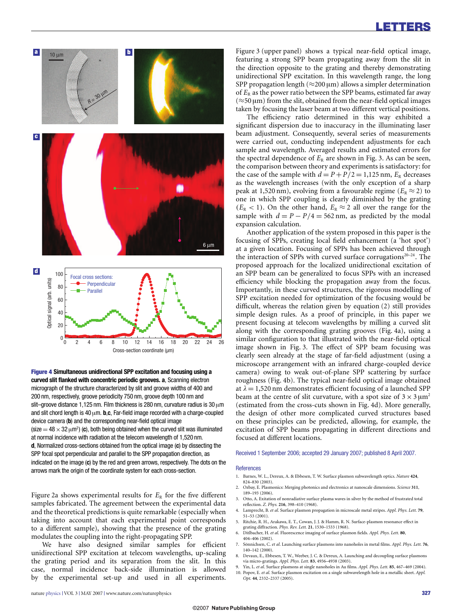# **LETTERS**



**Figure 4 Simultaneous unidirectional SPP excitation and focusing using a curved slit flanked with concentric periodic grooves. a**, Scanning electron micrograph of the structure characterized by slit and groove widths of 400 and 200 nm, respectively, groove periodicity 750 nm, groove depth 100 nm and slit–groove distance 1,125 nm. Film thickness is 280 nm, curvature radius is 30 μm and slit chord length is 40 μm. **b**,**c**, Far-field image recorded with a charge-coupled device camera (**b**) and the corresponding near-field optical image (size  $=$  48  $\times$  32  $\mu$ m<sup>2</sup>) (**c**), both being obtained when the curved slit was illuminated at normal incidence with radiation at the telecom wavelength of 1,520 nm. **d**, Normalized cross-sections obtained from the optical image (**c**) by dissecting the SPP focal spot perpendicular and parallel to the SPP propagation direction, as indicated on the image (**c**) by the red and green arrows, respectively. The dots on the arrows mark the origin of the coordinate system for each cross-section.

Figure 2a shows experimental results for  $E_R$  for the five different samples fabricated. The agreement between the experimental data and the theoretical predictions is quite remarkable (especially when taking into account that each experimental point corresponds to a different sample), showing that the presence of the grating modulates the coupling into the right-propagating SPP.

We have also designed similar samples for efficient unidirectional SPP excitation at telecom wavelengths, up-scaling the grating period and its separation from the slit. In this case, normal incidence back-side illumination is allowed by the experimental set-up and used in all experiments.

Figure 3 (upper panel) shows a typical near-field optical image, featuring a strong SPP beam propagating away from the slit in the direction opposite to the grating and thereby demonstrating unidirectional SPP excitation. In this wavelength range, the long SPP propagation length ( $\approx$ 200 µm) allows a simpler determination of  $E_R$  as the power ratio between the SPP beams, estimated far away  $(\approx 50 \,\mu m)$  from the slit, obtained from the near-field optical images taken by focusing the laser beam at two different vertical positions.

The efficiency ratio determined in this way exhibited a significant dispersion due to inaccuracy in the illuminating laser beam adjustment. Consequently, several series of measurements were carried out, conducting independent adjustments for each sample and wavelength. Averaged results and estimated errors for the spectral dependence of  $E_R$  are shown in Fig. 3. As can be seen, the comparison between theory and experiments is satisfactory: for the case of the sample with  $d = P + P/2 = 1,125$  nm,  $E_R$  decreases as the wavelength increases (with the only exception of a sharp peak at 1,520 nm), evolving from a favourable regime ( $E_R \approx 2$ ) to one in which SPP coupling is clearly diminished by the grating  $(E_R < 1)$ . On the other hand,  $E_R \approx 2$  all over the range for the sample with  $d = P - P/4 = 562$  nm, as predicted by the modal expansion calculation.

Another application of the system proposed in this paper is the focusing of SPPs, creating local field enhancement (a 'hot spot') at a given location. Focusing of SPPs has been achieved through the interaction of SPPs with curved surface corrugations $20-24$ . The proposed approach for the localized unidirectional excitation of an SPP beam can be generalized to focus SPPs with an increased efficiency while blocking the propagation away from the focus. Importantly, in these curved structures, the rigorous modelling of SPP excitation needed for optimization of the focusing would be difficult, whereas the relation given by equation (2) still provides simple design rules. As a proof of principle, in this paper we present focusing at telecom wavelengths by milling a curved slit along with the corresponding grating grooves (Fig. 4a), using a similar configuration to that illustrated with the near-field optical image shown in Fig. 3. The effect of SPP beam focusing was clearly seen already at the stage of far-field adjustment (using a microscope arrangement with an infrared charge-coupled device camera) owing to weak out-of-plane SPP scattering by surface roughness (Fig. 4b). The typical near-field optical image obtained at  $\lambda = 1,520$  nm demonstrates efficient focusing of a launched SPP beam at the centre of slit curvature, with a spot size of  $3 \times 3 \mu m^2$ (estimated from the cross-cuts shown in Fig. 4d). More generally, the design of other more complicated curved structures based on these principles can be predicted, allowing, for example, the excitation of SPP beams propagating in different directions and focused at different locations.

## Received 1 September 2006; accepted 29 January 2007; published 8 April 2007.

#### References

- 1. Barnes, W. L., Dereux, A. & Ebbesen, T. W. Surface plasmon subwavelength optics. *Nature* **424**, 824–830 (2003).
- 2. Ozbay, E. Plasmonics: Merging photonics and electronics at nanoscale dimensions. *Science* **311**, 189–193 (2006).
- 3. Otto, A. Exitation of nonradiative surface plasma waves in silver by the method of frustrated total reflection. *Z. Phys.* **216**, 398–410 (1968). 4. Lamprecht, B. *et al*. Surface plasmon propagation in microscale metal stripes. *Appl. Phys. Lett.* **79**,
- 51–53 (2001). 5. Ritchie, R. H., Arakawa, E. T., Cowan, J. J. & Hamm, R. N. Surface-plasmon resonance effect in
- grating diffraction. *Phys. Rev. Lett.* **21**, 1530–1533 (1968). 6. Ditlbacher, H. *et al*. Fluorescence imaging of surface plasmon fields. *Appl. Phys. Lett.* **80**,
- 404–406 (2002).
- 7. Sönnichsen, C. et al. Launching surface plasmons into nanoholes in metal films. *Appl. Phys. Lett.* **76**, 140–142 (2000). Devaux, E., Ebbesen, T. W., Weeber, J. C. & Dereux, A. Launching and decoupling surface plasmons
- via micro-gratings. *Appl. Phys. Lett.* **83**, 4936–4938 (2003).
- 9. Yin, L. *et al*. Surface plasmons at single nanoholes in Au films. *Appl. Phys. Lett.* **85**, 467–469 (2004). 10. Popov, E. *et al*. Surface plasmon excitation on a single subwavelength hole in a metallic sheet. *Appl. Opt.* **44**, 2332–2337 (2005).